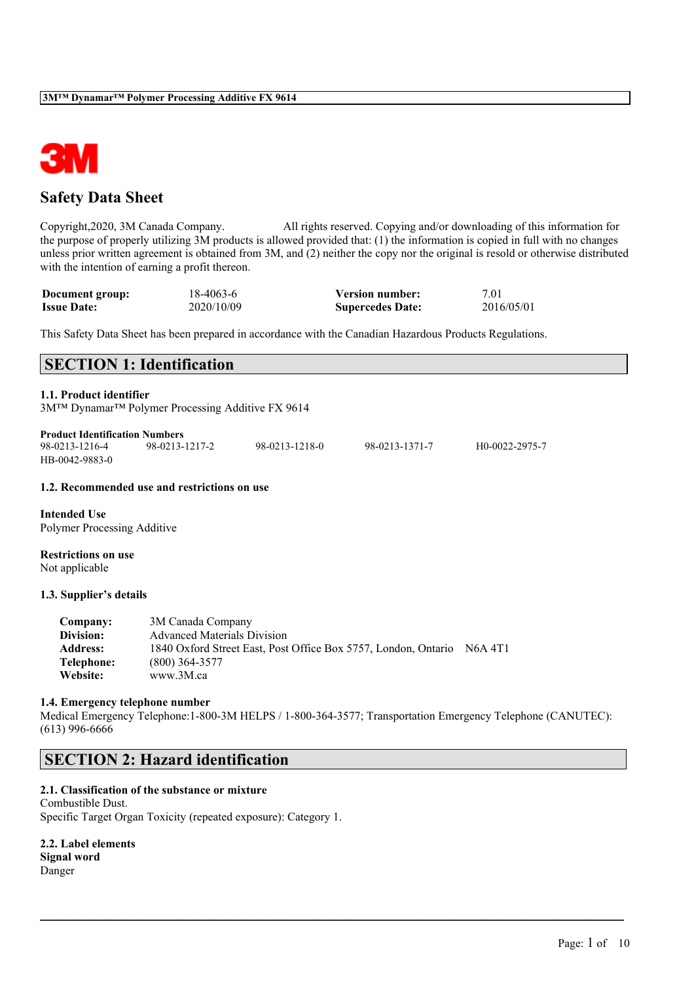

# **Safety Data Sheet**

Copyright,2020, 3M Canada Company. All rights reserved. Copying and/or downloading of this information for the purpose of properly utilizing 3M products is allowed provided that: (1) the information is copied in full with no changes unless prior written agreement is obtained from 3M, and (2) neither the copy nor the original is resold or otherwise distributed with the intention of earning a profit thereon.

| Document group:    | 18-4063-6  | <b>Version number:</b>  | 7.01       |
|--------------------|------------|-------------------------|------------|
| <b>Issue Date:</b> | 2020/10/09 | <b>Supercedes Date:</b> | 2016/05/01 |

This Safety Data Sheet has been prepared in accordance with the Canadian Hazardous Products Regulations.

|                                                         | <b>SECTION 1: Identification</b>                 |                |                |                |  |
|---------------------------------------------------------|--------------------------------------------------|----------------|----------------|----------------|--|
| 1.1. Product identifier                                 | 3M™ Dynamar™ Polymer Processing Additive FX 9614 |                |                |                |  |
| <b>Product Identification Numbers</b><br>98-0213-1216-4 | 98-0213-1217-2                                   | 98-0213-1218-0 | 98-0213-1371-7 | H0-0022-2975-7 |  |

#### **1.2. Recommended use and restrictions on use**

**Intended Use** Polymer Processing Additive

**Restrictions on use** Not applicable

HB-0042-9883-0

#### **1.3. Supplier's details**

| <b>Company:</b>  | 3M Canada Company                                              |         |
|------------------|----------------------------------------------------------------|---------|
| <b>Division:</b> | <b>Advanced Materials Division</b>                             |         |
| <b>Address:</b>  | 1840 Oxford Street East, Post Office Box 5757, London, Ontario | N6A 4T1 |
| Telephone:       | $(800)$ 364-3577                                               |         |
| <b>Website:</b>  | www.3M.ca                                                      |         |

#### **1.4. Emergency telephone number**

Medical Emergency Telephone:1-800-3M HELPS / 1-800-364-3577; Transportation Emergency Telephone (CANUTEC): (613) 996-6666

 $\mathcal{L}_\mathcal{L} = \mathcal{L}_\mathcal{L} = \mathcal{L}_\mathcal{L} = \mathcal{L}_\mathcal{L} = \mathcal{L}_\mathcal{L} = \mathcal{L}_\mathcal{L} = \mathcal{L}_\mathcal{L} = \mathcal{L}_\mathcal{L} = \mathcal{L}_\mathcal{L} = \mathcal{L}_\mathcal{L} = \mathcal{L}_\mathcal{L} = \mathcal{L}_\mathcal{L} = \mathcal{L}_\mathcal{L} = \mathcal{L}_\mathcal{L} = \mathcal{L}_\mathcal{L} = \mathcal{L}_\mathcal{L} = \mathcal{L}_\mathcal{L}$ 

## **SECTION 2: Hazard identification**

## **2.1. Classification of the substance or mixture**

Combustible Dust. Specific Target Organ Toxicity (repeated exposure): Category 1.

**2.2. Label elements Signal word**

Danger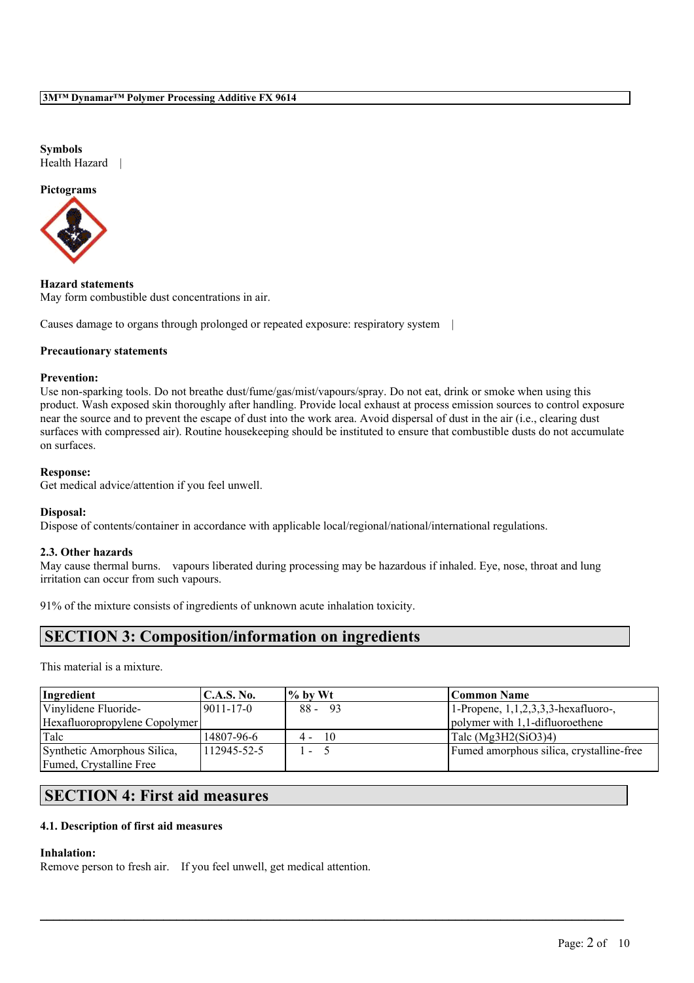### **Symbols** Health Hazard |

### **Pictograms**



**Hazard statements** May form combustible dust concentrations in air.

Causes damage to organs through prolonged or repeated exposure: respiratory system |

## **Precautionary statements**

### **Prevention:**

Use non-sparking tools. Do not breathe dust/fume/gas/mist/vapours/spray. Do not eat, drink or smoke when using this product. Wash exposed skin thoroughly after handling. Provide local exhaust at process emission sources to control exposure near the source and to prevent the escape of dust into the work area. Avoid dispersal of dust in the air (i.e., clearing dust surfaces with compressed air). Routine housekeeping should be instituted to ensure that combustible dusts do not accumulate on surfaces.

### **Response:**

Get medical advice/attention if you feel unwell.

## **Disposal:**

Dispose of contents/container in accordance with applicable local/regional/national/international regulations.

## **2.3. Other hazards**

May cause thermal burns. vapours liberated during processing may be hazardous if inhaled. Eye, nose, throat and lung irritation can occur from such vapours.

91% of the mixture consists of ingredients of unknown acute inhalation toxicity.

## **SECTION 3: Composition/information on ingredients**

This material is a mixture.

| Ingredient                    | C.A.S. No.       | $\frac{9}{6}$ by Wt | Common Name                                 |
|-------------------------------|------------------|---------------------|---------------------------------------------|
| Vinylidene Fluoride-          | $19011 - 17 - 0$ | -93<br>$88 -$       | $1$ -Propene, $1, 1, 2, 3, 3$ -hexafluoro-, |
| Hexafluoropropylene Copolymer |                  |                     | polymer with 1,1-difluoroethene             |
| Talc                          | 14807-96-6       | 10<br>4 -           | Talc $(Mg3H2(SiO3)4)$                       |
| Synthetic Amorphous Silica,   | 112945-52-5      | ı –                 | Fumed amorphous silica, crystalline-free    |
| Fumed, Crystalline Free       |                  |                     |                                             |

 $\mathcal{L}_\mathcal{L} = \mathcal{L}_\mathcal{L} = \mathcal{L}_\mathcal{L} = \mathcal{L}_\mathcal{L} = \mathcal{L}_\mathcal{L} = \mathcal{L}_\mathcal{L} = \mathcal{L}_\mathcal{L} = \mathcal{L}_\mathcal{L} = \mathcal{L}_\mathcal{L} = \mathcal{L}_\mathcal{L} = \mathcal{L}_\mathcal{L} = \mathcal{L}_\mathcal{L} = \mathcal{L}_\mathcal{L} = \mathcal{L}_\mathcal{L} = \mathcal{L}_\mathcal{L} = \mathcal{L}_\mathcal{L} = \mathcal{L}_\mathcal{L}$ 

# **SECTION 4: First aid measures**

## **4.1. Description of first aid measures**

## **Inhalation:**

Remove person to fresh air. If you feel unwell, get medical attention.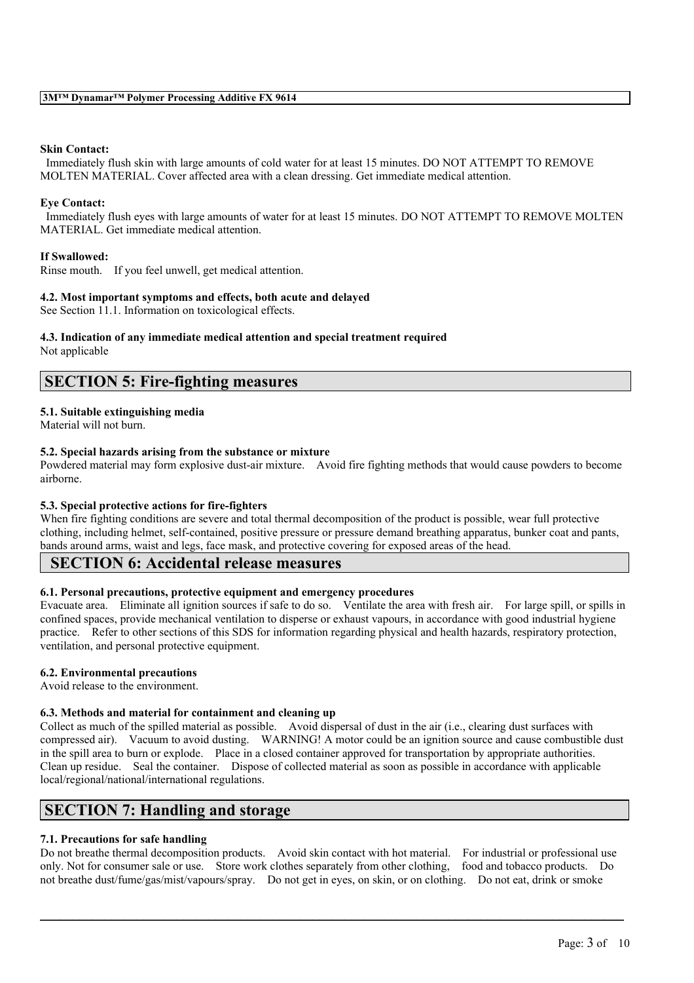### **Skin Contact:**

Immediately flush skin with large amounts of cold water for at least 15 minutes. DO NOT ATTEMPT TO REMOVE MOLTEN MATERIAL. Cover affected area with a clean dressing. Get immediate medical attention.

#### **Eye Contact:**

Immediately flush eyes with large amounts of water for at least 15 minutes. DO NOT ATTEMPT TO REMOVE MOLTEN MATERIAL. Get immediate medical attention.

### **If Swallowed:**

Rinse mouth. If you feel unwell, get medical attention.

### **4.2. Most important symptoms and effects, both acute and delayed**

See Section 11.1. Information on toxicological effects.

#### **4.3. Indication of any immediate medical attention and special treatment required** Not applicable

## **SECTION 5: Fire-fighting measures**

## **5.1. Suitable extinguishing media**

Material will not burn.

## **5.2. Special hazards arising from the substance or mixture**

Powdered material may form explosive dust-air mixture. Avoid fire fighting methods that would cause powders to become airborne.

## **5.3. Special protective actions for fire-fighters**

When fire fighting conditions are severe and total thermal decomposition of the product is possible, wear full protective clothing, including helmet, self-contained, positive pressure or pressure demand breathing apparatus, bunker coat and pants, bands around arms, waist and legs, face mask, and protective covering for exposed areas of the head.

## **SECTION 6: Accidental release measures**

## **6.1. Personal precautions, protective equipment and emergency procedures**

Evacuate area. Eliminate all ignition sources if safe to do so. Ventilate the area with fresh air. For large spill, or spills in confined spaces, provide mechanical ventilation to disperse or exhaust vapours, in accordance with good industrial hygiene practice. Refer to other sections of this SDS for information regarding physical and health hazards, respiratory protection, ventilation, and personal protective equipment.

## **6.2. Environmental precautions**

Avoid release to the environment.

## **6.3. Methods and material for containment and cleaning up**

Collect as much of the spilled material as possible. Avoid dispersal of dust in the air (i.e., clearing dust surfaces with compressed air). Vacuum to avoid dusting. WARNING! A motor could be an ignition source and cause combustible dust in the spill area to burn or explode. Place in a closed container approved for transportation by appropriate authorities. Clean up residue. Seal the container. Dispose of collected material as soon as possible in accordance with applicable local/regional/national/international regulations.

# **SECTION 7: Handling and storage**

## **7.1. Precautions for safe handling**

Do not breathe thermal decomposition products. Avoid skin contact with hot material. For industrial or professional use only. Not for consumer sale or use. Store work clothes separately from other clothing, food and tobacco products. Do not breathe dust/fume/gas/mist/vapours/spray. Do not get in eyes, on skin, or on clothing. Do not eat, drink or smoke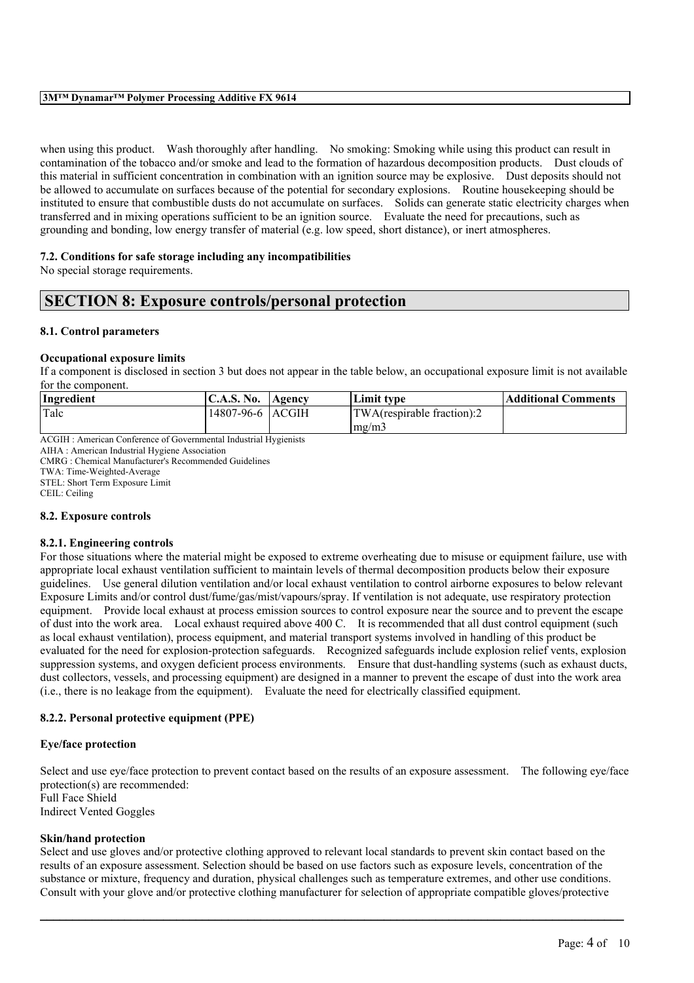### **3M™ Dynamar™ Polymer Processing Additive FX 9614**

when using this product. Wash thoroughly after handling. No smoking: Smoking while using this product can result in contamination of the tobacco and/or smoke and lead to the formation of hazardous decomposition products. Dust clouds of this material in sufficient concentration in combination with an ignition source may be explosive. Dust deposits should not be allowed to accumulate on surfaces because of the potential for secondary explosions. Routine housekeeping should be instituted to ensure that combustible dusts do not accumulate on surfaces. Solids can generate static electricity charges when transferred and in mixing operations sufficient to be an ignition source. Evaluate the need for precautions, such as grounding and bonding, low energy transfer of material (e.g. low speed, short distance), or inert atmospheres.

## **7.2. Conditions for safe storage including any incompatibilities**

No special storage requirements.

## **SECTION 8: Exposure controls/personal protection**

### **8.1. Control parameters**

### **Occupational exposure limits**

If a component is disclosed in section 3 but does not appear in the table below, an occupational exposure limit is not available for the component.

| Ingredient | <b>C.A.S. No.</b> | Agency | Limit type                     | Additional Comments |
|------------|-------------------|--------|--------------------------------|---------------------|
| Talc       | 14807-96-6 ACGIH  |        | $ TWA$ (respirable fraction):2 |                     |
|            |                   |        | mg/m                           |                     |
|            |                   |        |                                |                     |

ACGIH : American Conference of Governmental Industrial Hygienists

AIHA : American Industrial Hygiene Association CMRG : Chemical Manufacturer's Recommended Guidelines

TWA: Time-Weighted-Average

STEL: Short Term Exposure Limit

CEIL: Ceiling

## **8.2. Exposure controls**

## **8.2.1. Engineering controls**

For those situations where the material might be exposed to extreme overheating due to misuse or equipment failure, use with appropriate local exhaust ventilation sufficient to maintain levels of thermal decomposition products below their exposure guidelines. Use general dilution ventilation and/or local exhaust ventilation to control airborne exposures to below relevant Exposure Limits and/or control dust/fume/gas/mist/vapours/spray. If ventilation is not adequate, use respiratory protection equipment. Provide local exhaust at process emission sources to control exposure near the source and to prevent the escape of dust into the work area. Local exhaust required above 400 C. It is recommended that all dust control equipment (such as local exhaust ventilation), process equipment, and material transport systems involved in handling of this product be evaluated for the need for explosion-protection safeguards. Recognized safeguards include explosion relief vents, explosion suppression systems, and oxygen deficient process environments. Ensure that dust-handling systems (such as exhaust ducts, dust collectors, vessels, and processing equipment) are designed in a manner to prevent the escape of dust into the work area (i.e., there is no leakage from the equipment). Evaluate the need for electrically classified equipment.

## **8.2.2. Personal protective equipment (PPE)**

## **Eye/face protection**

Select and use eye/face protection to prevent contact based on the results of an exposure assessment. The following eye/face protection(s) are recommended: Full Face Shield Indirect Vented Goggles

## **Skin/hand protection**

Select and use gloves and/or protective clothing approved to relevant local standards to prevent skin contact based on the results of an exposure assessment. Selection should be based on use factors such as exposure levels, concentration of the substance or mixture, frequency and duration, physical challenges such as temperature extremes, and other use conditions. Consult with your glove and/or protective clothing manufacturer for selection of appropriate compatible gloves/protective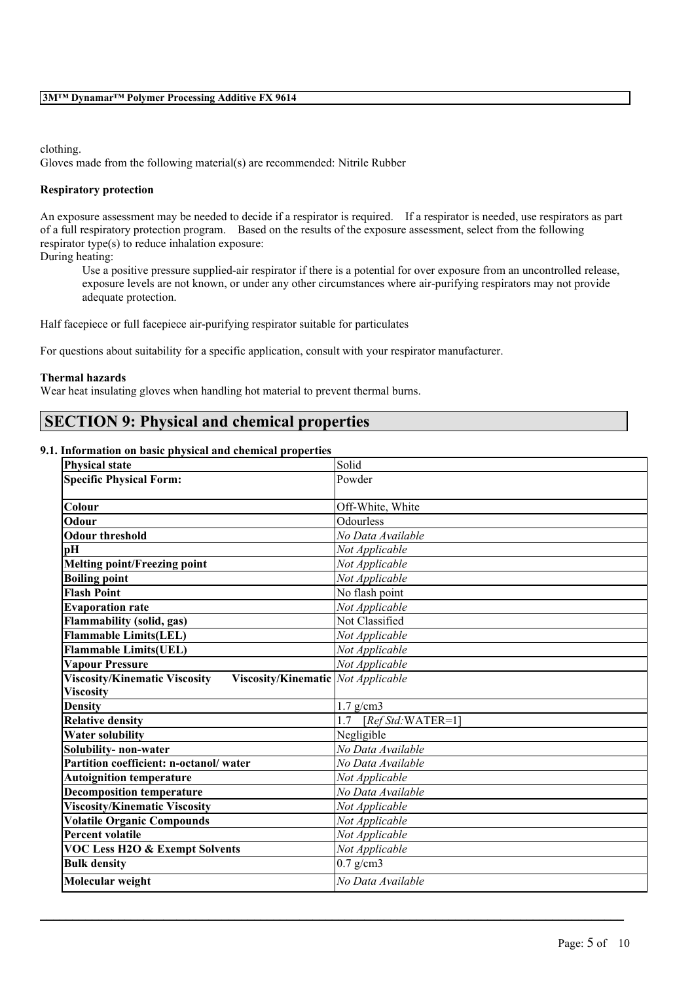clothing.

Gloves made from the following material(s) are recommended: Nitrile Rubber

## **Respiratory protection**

An exposure assessment may be needed to decide if a respirator is required. If a respirator is needed, use respirators as part of a full respiratory protection program. Based on the results of the exposure assessment, select from the following respirator type(s) to reduce inhalation exposure:

During heating:

Use a positive pressure supplied-air respirator if there is a potential for over exposure from an uncontrolled release, exposure levels are not known, or under any other circumstances where air-purifying respirators may not provide adequate protection.

Half facepiece or full facepiece air-purifying respirator suitable for particulates

For questions about suitability for a specific application, consult with your respirator manufacturer.

## **Thermal hazards**

Wear heat insulating gloves when handling hot material to prevent thermal burns.

## **SECTION 9: Physical and chemical properties**

### **9.1. Information on basic physical and chemical properties**

| <b>Physical state</b>                                                        | Solid                     |
|------------------------------------------------------------------------------|---------------------------|
| <b>Specific Physical Form:</b>                                               | Powder                    |
| Colour                                                                       | Off-White, White          |
| Odour                                                                        | Odourless                 |
|                                                                              |                           |
| <b>Odour threshold</b>                                                       | No Data Available         |
| pH                                                                           | Not Applicable            |
| <b>Melting point/Freezing point</b>                                          | Not Applicable            |
| <b>Boiling point</b>                                                         | Not Applicable            |
| <b>Flash Point</b>                                                           | No flash point            |
| <b>Evaporation rate</b>                                                      | Not Applicable            |
| <b>Flammability (solid, gas)</b>                                             | Not Classified            |
| <b>Flammable Limits(LEL)</b>                                                 | Not Applicable            |
| <b>Flammable Limits(UEL)</b>                                                 | Not Applicable            |
| <b>Vapour Pressure</b>                                                       | Not Applicable            |
| <b>Viscosity/Kinematic Viscosity</b><br>Viscosity/Kinematic   Not Applicable |                           |
| <b>Viscosity</b>                                                             |                           |
| <b>Density</b>                                                               | $1.7$ g/cm3               |
| <b>Relative density</b>                                                      | 1.7<br>$[RefStd:WATER=1]$ |
| <b>Water solubility</b>                                                      | Negligible                |
| Solubility- non-water                                                        | No Data Available         |
| Partition coefficient: n-octanol/water                                       | No Data Available         |
| <b>Autoignition temperature</b>                                              | Not Applicable            |
| <b>Decomposition temperature</b>                                             | No Data Available         |
| <b>Viscosity/Kinematic Viscosity</b>                                         | Not Applicable            |
| <b>Volatile Organic Compounds</b>                                            | Not Applicable            |
| <b>Percent volatile</b>                                                      | Not Applicable            |
| <b>VOC Less H2O &amp; Exempt Solvents</b>                                    | Not Applicable            |
| <b>Bulk density</b>                                                          | $0.7$ g/cm3               |
| Molecular weight                                                             | No Data Available         |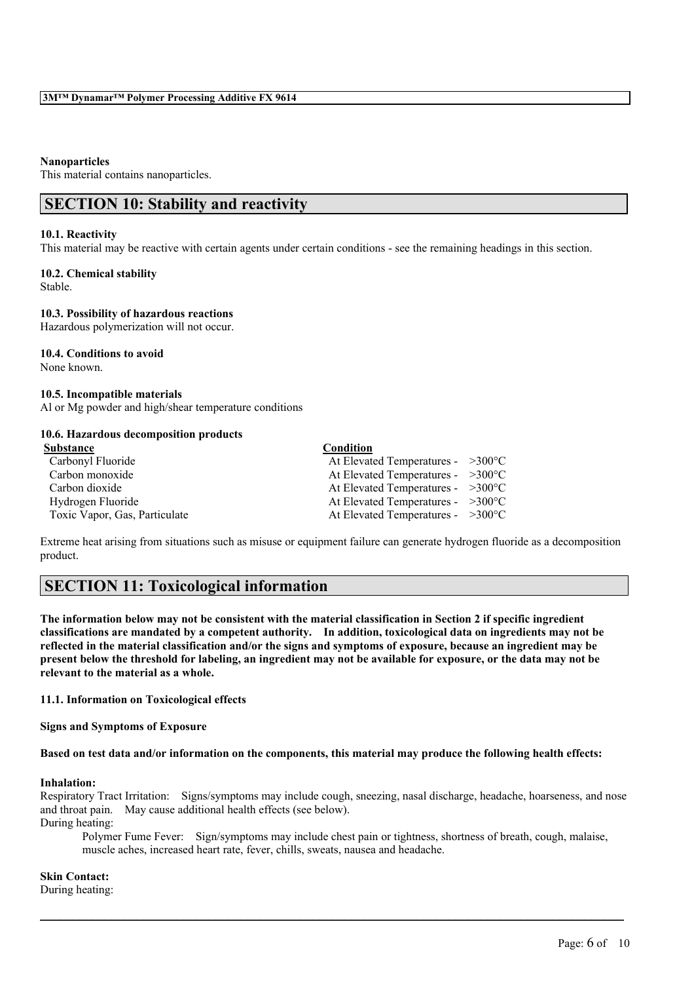#### **Nanoparticles**

This material contains nanoparticles.

## **SECTION 10: Stability and reactivity**

#### **10.1. Reactivity**

This material may be reactive with certain agents under certain conditions - see the remaining headings in this section.

## **10.2. Chemical stability**

Stable.

#### **10.3. Possibility of hazardous reactions**

Hazardous polymerization will not occur.

## **10.4. Conditions to avoid**

None known.

#### **10.5. Incompatible materials**

Al or Mg powder and high/shear temperature conditions

### **10.6. Hazardous decomposition products**

| Substance                     | Condition                                   |  |
|-------------------------------|---------------------------------------------|--|
| Carbonyl Fluoride             | At Elevated Temperatures - $>300^{\circ}$ C |  |
| Carbon monoxide               | At Elevated Temperatures - $>300^{\circ}$ C |  |
| Carbon dioxide                | At Elevated Temperatures - $>300^{\circ}$ C |  |
| Hydrogen Fluoride             | At Elevated Temperatures - $>300^{\circ}$ C |  |
| Toxic Vapor, Gas, Particulate | At Elevated Temperatures - $>300^{\circ}$ C |  |

Extreme heat arising from situations such as misuse or equipment failure can generate hydrogen fluoride as a decomposition product.

## **SECTION 11: Toxicological information**

The information below may not be consistent with the material classification in Section 2 if specific ingredient **classifications are mandated by a competent authority. In addition, toxicological data on ingredients may not be** reflected in the material classification and/or the signs and symptoms of exposure, because an ingredient may be present below the threshold for labeling, an ingredient may not be available for exposure, or the data may not be **relevant to the material as a whole.**

## **11.1. Information on Toxicological effects**

**Signs and Symptoms of Exposure**

#### Based on test data and/or information on the components, this material may produce the following health effects:

## **Inhalation:**

Respiratory Tract Irritation: Signs/symptoms may include cough, sneezing, nasal discharge, headache, hoarseness, and nose and throat pain. May cause additional health effects (see below). During heating:

 $\mathcal{L}_\mathcal{L} = \mathcal{L}_\mathcal{L} = \mathcal{L}_\mathcal{L} = \mathcal{L}_\mathcal{L} = \mathcal{L}_\mathcal{L} = \mathcal{L}_\mathcal{L} = \mathcal{L}_\mathcal{L} = \mathcal{L}_\mathcal{L} = \mathcal{L}_\mathcal{L} = \mathcal{L}_\mathcal{L} = \mathcal{L}_\mathcal{L} = \mathcal{L}_\mathcal{L} = \mathcal{L}_\mathcal{L} = \mathcal{L}_\mathcal{L} = \mathcal{L}_\mathcal{L} = \mathcal{L}_\mathcal{L} = \mathcal{L}_\mathcal{L}$ 

Polymer Fume Fever: Sign/symptoms may include chest pain or tightness, shortness of breath, cough, malaise, muscle aches, increased heart rate, fever, chills, sweats, nausea and headache.

## **Skin Contact:**

During heating: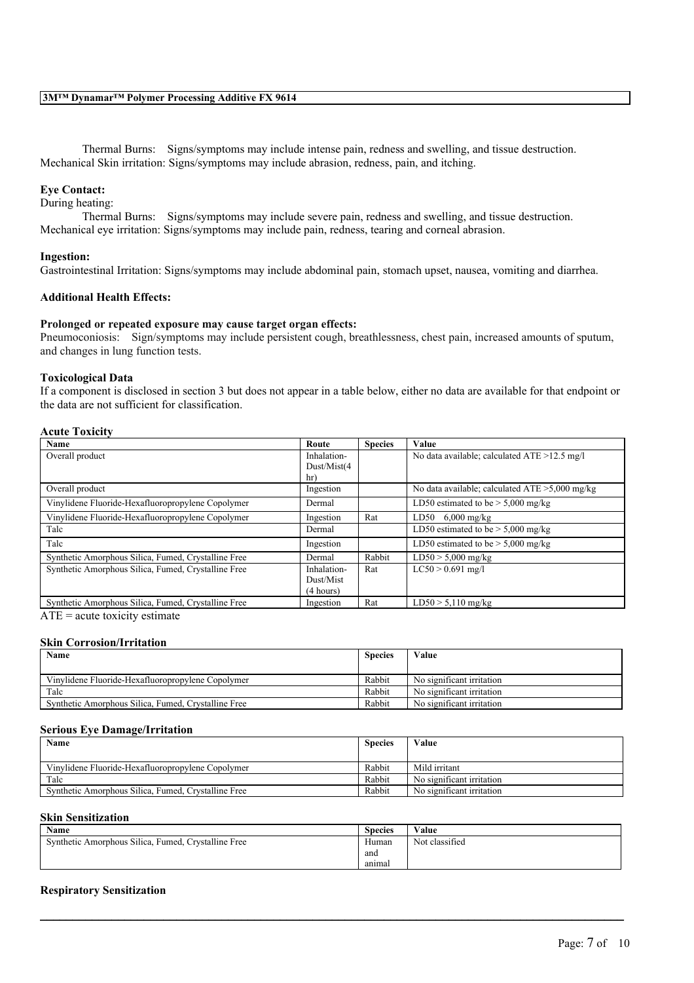Thermal Burns: Signs/symptoms may include intense pain, redness and swelling, and tissue destruction. Mechanical Skin irritation: Signs/symptoms may include abrasion, redness, pain, and itching.

### **Eye Contact:**

During heating:

Thermal Burns: Signs/symptoms may include severe pain, redness and swelling, and tissue destruction. Mechanical eye irritation: Signs/symptoms may include pain, redness, tearing and corneal abrasion.

#### **Ingestion:**

Gastrointestinal Irritation: Signs/symptoms may include abdominal pain, stomach upset, nausea, vomiting and diarrhea.

#### **Additional Health Effects:**

#### **Prolonged or repeated exposure may cause target organ effects:**

Pneumoconiosis: Sign/symptoms may include persistent cough, breathlessness, chest pain, increased amounts of sputum, and changes in lung function tests.

### **Toxicological Data**

If a component is disclosed in section 3 but does not appear in a table below, either no data are available for that endpoint or the data are not sufficient for classification.

## **Acute Toxicity**

| Name                                                | Route       | <b>Species</b> | Value                                             |
|-----------------------------------------------------|-------------|----------------|---------------------------------------------------|
| Overall product                                     | Inhalation- |                | No data available; calculated $ATE > 12.5$ mg/l   |
|                                                     | Dust/Mist(4 |                |                                                   |
|                                                     | hr)         |                |                                                   |
| Overall product                                     | Ingestion   |                | No data available; calculated $ATE > 5,000$ mg/kg |
| Vinylidene Fluoride-Hexafluoropropylene Copolymer   | Dermal      |                | LD50 estimated to be $>$ 5,000 mg/kg              |
| Vinylidene Fluoride-Hexafluoropropylene Copolymer   | Ingestion   | Rat            | $6,000$ mg/kg<br>LD50                             |
| Talc                                                | Dermal      |                | LD50 estimated to be $> 5,000$ mg/kg              |
| Talc                                                | Ingestion   |                | LD50 estimated to be $> 5,000$ mg/kg              |
| Synthetic Amorphous Silica, Fumed, Crystalline Free | Dermal      | Rabbit         | $LD50 > 5,000$ mg/kg                              |
| Synthetic Amorphous Silica, Fumed, Crystalline Free | Inhalation- | Rat            | $LC50 > 0.691$ mg/l                               |
|                                                     | Dust/Mist   |                |                                                   |
|                                                     | (4 hours)   |                |                                                   |
| Synthetic Amorphous Silica, Fumed, Crystalline Free | Ingestion   | Rat            | $LD50 > 5,110$ mg/kg                              |

 $ATE = acute$  toxicity estimate

#### **Skin Corrosion/Irritation**

| Name<br><b>Species</b>                              |        | Value                     |
|-----------------------------------------------------|--------|---------------------------|
|                                                     |        |                           |
| Vinylidene Fluoride-Hexafluoropropylene Copolymer   | Rabbit | No significant irritation |
| Talc                                                | Rabbit | No significant irritation |
| Synthetic Amorphous Silica, Fumed, Crystalline Free | Rabbit | No significant irritation |

#### **Serious Eye Damage/Irritation**

| Name                                                | <b>Species</b> | Value                     |
|-----------------------------------------------------|----------------|---------------------------|
|                                                     |                |                           |
| Vinylidene Fluoride-Hexafluoropropylene Copolymer   | Rabbit         | Mild irritant             |
| Talc                                                | Rabbit         | No significant irritation |
| Synthetic Amorphous Silica, Fumed, Crystalline Free | Rabbit         | No significant irritation |

#### **Skin Sensitization**

| Name                                                | <b>Species</b> | Value          |
|-----------------------------------------------------|----------------|----------------|
| Synthetic Amorphous Silica, Fumed, Crystalline Free | Human          | Not classified |
|                                                     | and            |                |
|                                                     | animal         |                |

 $\mathcal{L}_\mathcal{L} = \mathcal{L}_\mathcal{L} = \mathcal{L}_\mathcal{L} = \mathcal{L}_\mathcal{L} = \mathcal{L}_\mathcal{L} = \mathcal{L}_\mathcal{L} = \mathcal{L}_\mathcal{L} = \mathcal{L}_\mathcal{L} = \mathcal{L}_\mathcal{L} = \mathcal{L}_\mathcal{L} = \mathcal{L}_\mathcal{L} = \mathcal{L}_\mathcal{L} = \mathcal{L}_\mathcal{L} = \mathcal{L}_\mathcal{L} = \mathcal{L}_\mathcal{L} = \mathcal{L}_\mathcal{L} = \mathcal{L}_\mathcal{L}$ 

#### **Respiratory Sensitization**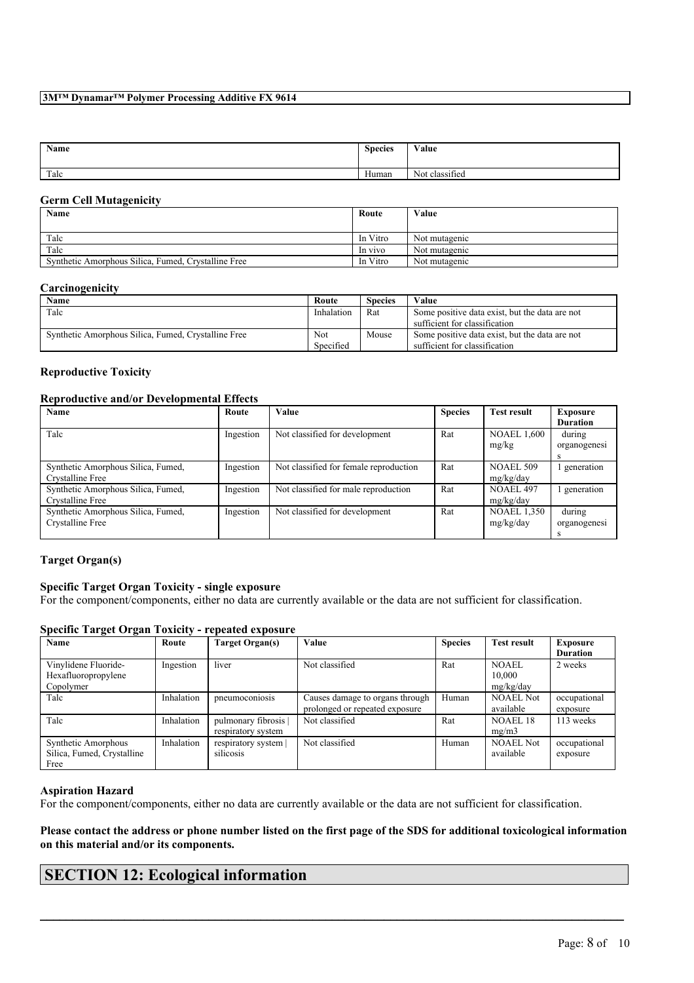## **3M™ Dynamar™ Polymer Processing Additive FX 9614**

| <b>Name</b> | <b>Species</b> | Value                               |
|-------------|----------------|-------------------------------------|
| Talc        | Human          | . .<br><b>A</b> T<br>Not classified |

### **Germ Cell Mutagenicity**

| Name                                                | Route    | Value         |
|-----------------------------------------------------|----------|---------------|
| Talc                                                | In Vitro | Not mutagenic |
| Talc                                                | In vivo  | Not mutagenic |
| Synthetic Amorphous Silica, Fumed, Crystalline Free | In Vitro | Not mutagenic |

#### **Carcinogenicity**

| <b>Name</b>                                         | Route      | <b>Species</b> | Value                                          |
|-----------------------------------------------------|------------|----------------|------------------------------------------------|
| Talc                                                | Inhalation | Rat            | Some positive data exist, but the data are not |
|                                                     |            |                | sufficient for classification                  |
| Synthetic Amorphous Silica, Fumed, Crystalline Free | Not        | Mouse          | Some positive data exist, but the data are not |
|                                                     | Specified  |                | sufficient for classification                  |

## **Reproductive Toxicity**

### **Reproductive and/or Developmental Effects**

| Name                               | Route     | <b>Value</b>                           | <b>Species</b> | <b>Test result</b> | <b>Exposure</b> |
|------------------------------------|-----------|----------------------------------------|----------------|--------------------|-----------------|
|                                    |           |                                        |                |                    | <b>Duration</b> |
| Talc                               | Ingestion | Not classified for development         | Rat            | <b>NOAEL 1,600</b> | during          |
|                                    |           |                                        |                | mg/kg              | organogenesi    |
|                                    |           |                                        |                |                    | s               |
| Synthetic Amorphous Silica, Fumed, | Ingestion | Not classified for female reproduction | Rat            | <b>NOAEL 509</b>   | generation      |
| Crystalline Free                   |           |                                        |                | mg/kg/day          |                 |
| Synthetic Amorphous Silica, Fumed, | Ingestion | Not classified for male reproduction   | Rat            | NOAEL 497          | generation      |
| Crystalline Free                   |           |                                        |                | mg/kg/day          |                 |
| Synthetic Amorphous Silica, Fumed, | Ingestion | Not classified for development         | Rat            | <b>NOAEL 1,350</b> | during          |
| Crystalline Free                   |           |                                        |                | mg/kg/day          | organogenesi    |
|                                    |           |                                        |                |                    | s               |

## **Target Organ(s)**

## **Specific Target Organ Toxicity - single exposure**

For the component/components, either no data are currently available or the data are not sufficient for classification.

## **Specific Target Organ Toxicity - repeated exposure**

| Name                       | Route      | Target Organ(s)    | Value                           | <b>Species</b> | <b>Test result</b> | Exposure        |
|----------------------------|------------|--------------------|---------------------------------|----------------|--------------------|-----------------|
|                            |            |                    |                                 |                |                    | <b>Duration</b> |
| Vinylidene Fluoride-       | Ingestion  | liver              | Not classified                  | Rat            | NOAEL              | 2 weeks         |
| Hexafluoropropylene        |            |                    |                                 |                | 10.000             |                 |
| Copolymer                  |            |                    |                                 |                | mg/kg/day          |                 |
| Talc                       | Inhalation | pneumoconiosis     | Causes damage to organs through | Human          | <b>NOAEL Not</b>   | occupational    |
|                            |            |                    | prolonged or repeated exposure  |                | available          | exposure        |
| Talc                       | Inhalation | pulmonary fibrosis | Not classified                  | Rat            | <b>NOAEL 18</b>    | 113 weeks       |
|                            |            | respiratory system |                                 |                | mg/m3              |                 |
| Synthetic Amorphous        | Inhalation | respiratory system | Not classified                  | Human          | <b>NOAEL Not</b>   | occupational    |
| Silica, Fumed, Crystalline |            | silicosis          |                                 |                | available          | exposure        |
| Free                       |            |                    |                                 |                |                    |                 |

## **Aspiration Hazard**

For the component/components, either no data are currently available or the data are not sufficient for classification.

Please contact the address or phone number listed on the first page of the SDS for additional toxicological information **on this material and/or its components.**

 $\mathcal{L}_\mathcal{L} = \mathcal{L}_\mathcal{L} = \mathcal{L}_\mathcal{L} = \mathcal{L}_\mathcal{L} = \mathcal{L}_\mathcal{L} = \mathcal{L}_\mathcal{L} = \mathcal{L}_\mathcal{L} = \mathcal{L}_\mathcal{L} = \mathcal{L}_\mathcal{L} = \mathcal{L}_\mathcal{L} = \mathcal{L}_\mathcal{L} = \mathcal{L}_\mathcal{L} = \mathcal{L}_\mathcal{L} = \mathcal{L}_\mathcal{L} = \mathcal{L}_\mathcal{L} = \mathcal{L}_\mathcal{L} = \mathcal{L}_\mathcal{L}$ 

# **SECTION 12: Ecological information**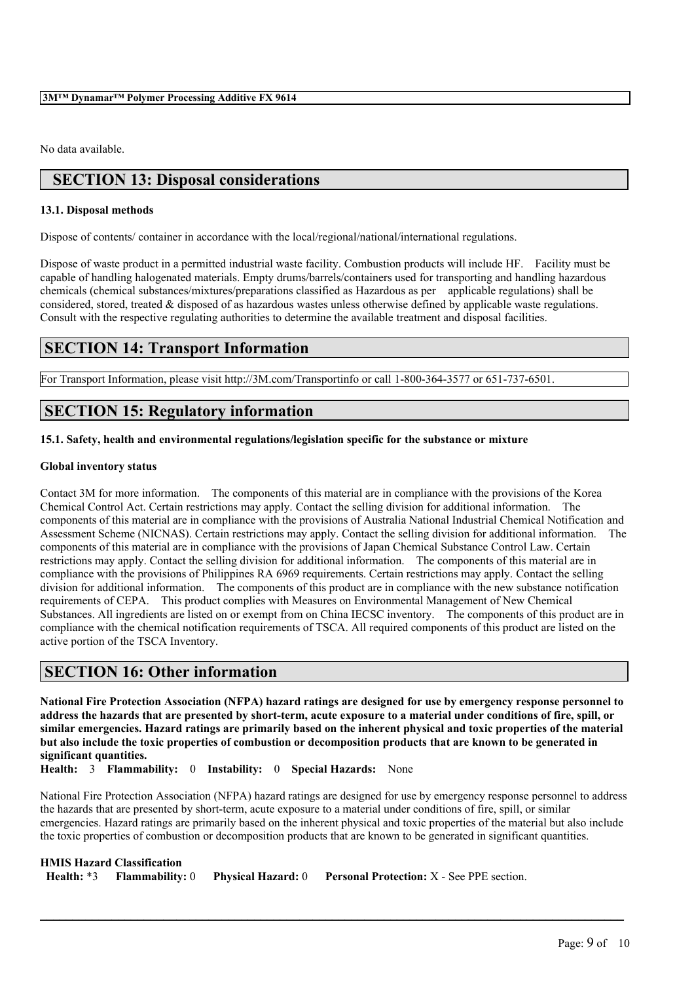No data available.

# **SECTION 13: Disposal considerations**

## **13.1. Disposal methods**

Dispose of contents/ container in accordance with the local/regional/national/international regulations.

Dispose of waste product in a permitted industrial waste facility. Combustion products will include HF. Facility must be capable of handling halogenated materials. Empty drums/barrels/containers used for transporting and handling hazardous chemicals (chemical substances/mixtures/preparations classified as Hazardous as per applicable regulations) shall be considered, stored, treated & disposed of as hazardous wastes unless otherwise defined by applicable waste regulations. Consult with the respective regulating authorities to determine the available treatment and disposal facilities.

## **SECTION 14: Transport Information**

For Transport Information, please visit http://3M.com/Transportinfo or call 1-800-364-3577 or 651-737-6501.

## **SECTION 15: Regulatory information**

## **15.1. Safety, health and environmental regulations/legislation specific for the substance or mixture**

## **Global inventory status**

Contact 3M for more information. The components of this material are in compliance with the provisions of the Korea Chemical Control Act. Certain restrictions may apply. Contact the selling division for additional information. The components of this material are in compliance with the provisions of Australia National Industrial Chemical Notification and Assessment Scheme (NICNAS). Certain restrictions may apply. Contact the selling division for additional information. The components of this material are in compliance with the provisions of Japan Chemical Substance Control Law. Certain restrictions may apply. Contact the selling division for additional information. The components of this material are in compliance with the provisions of Philippines RA 6969 requirements. Certain restrictions may apply. Contact the selling division for additional information. The components of this product are in compliance with the new substance notification requirements of CEPA. This product complies with Measures on Environmental Management of New Chemical Substances. All ingredients are listed on or exempt from on China IECSC inventory. The components of this product are in compliance with the chemical notification requirements of TSCA. All required components of this product are listed on the active portion of the TSCA Inventory.

## **SECTION 16: Other information**

National Fire Protection Association (NFPA) hazard ratings are designed for use by emergency response personnel to address the hazards that are presented by short-term, acute exposure to a material under conditions of fire, spill, or similar emergencies. Hazard ratings are primarily based on the inherent physical and toxic properties of the material but also include the toxic properties of combustion or decomposition products that are known to be generated in **significant quantities.**

**Health:** 3 **Flammability:** 0 **Instability:** 0 **Special Hazards:** None

National Fire Protection Association (NFPA) hazard ratings are designed for use by emergency response personnel to address the hazards that are presented by short-term, acute exposure to a material under conditions of fire, spill, or similar emergencies. Hazard ratings are primarily based on the inherent physical and toxic properties of the material but also include the toxic properties of combustion or decomposition products that are known to be generated in significant quantities.

| <b>HMIS Hazard Classification</b> |                                                                                         |
|-----------------------------------|-----------------------------------------------------------------------------------------|
|                                   | Health: *3 Flammability: 0 Physical Hazard: 0 Personal Protection: X - See PPE section. |